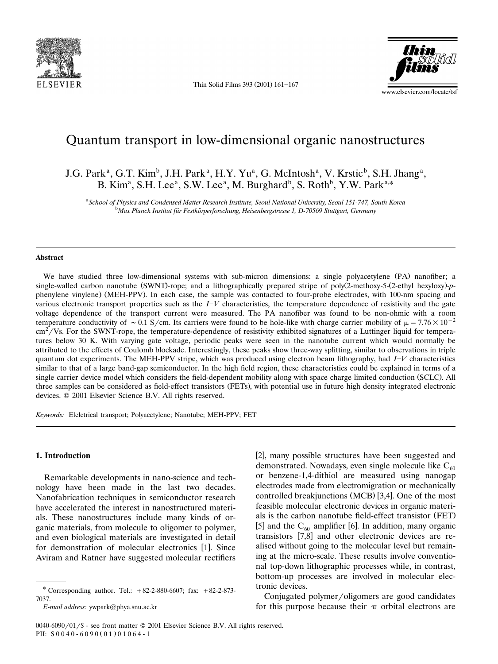

Thin Solid Films 393  $(2001)$  161-167



# Quantum transport in low-dimensional organic nanostructures

J.G. Park<sup>a</sup>, G.T. Kim<sup>b</sup>, J.H. Park<sup>a</sup>, H.Y. Yu<sup>a</sup>, G. McIntosh<sup>a</sup>, V. Krstic<sup>b</sup>, S.H. Jhang<sup>a</sup>, B. Kim<sup>a</sup>, S.H. Lee<sup>a</sup>, S.W. Lee<sup>a</sup>, M. Burghard<sup>b</sup>, S. Roth<sup>b</sup>, Y.W. Park<sup>a,\*</sup>

<sup>a</sup> School of Physics and Condensed Matter Research Institute, Seoul National University, Seoul 151-747, South Korea<br><sup>b</sup> Max Planek Institut für Festkörnarforschung, Heisenbergstrasse 1, D. 70560 Stuttgart Cormany <sup>b</sup>Max Planck Institut für Festkörperforschung, Heisenbergstrasse 1, D-70569 Stuttgart, Germany

#### **Abstract**

We have studied three low-dimensional systems with sub-micron dimensions: a single polyacetylene (PA) nanofiber; a single-walled carbon nanotube (SWNT)-rope; and a lithographically prepared stripe of poly(2-methoxy-5-(2-ethyl hexyloxy)-pphenylene vinylene) (MEH-PPV). In each case, the sample was contacted to four-probe electrodes, with 100-nm spacing and various electronic transport properties such as the  $I-V$  characteristics, the temperature dependence of resistivity and the gate voltage dependence of the transport current were measured. The PA nanofiber was found to be non-ohmic with a room temperature conductivity of  $\sim 0.1$  S/cm. Its carriers were found to be hole-like with charge carrier mobility of  $\mu = 7.76 \times 10^{-2}$  $\text{cm}^2/\text{Vs}$ . For the SWNT-rope, the temperature-dependence of resistivity exhibited signatures of a Luttinger liquid for temperatures below 30 K. With varying gate voltage, periodic peaks were seen in the nanotube current which would normally be attributed to the effects of Coulomb blockade. Interestingly, these peaks show three-way splitting, similar to observations in triple quantum dot experiments. The MEH-PPV stripe, which was produced using electron beam lithography, had *IV* characteristics similar to that of a large band-gap semiconductor. In the high field region, these characteristics could be explained in terms of a single carrier device model which considers the field-dependent mobility along with space charge limited conduction (SCLC). All three samples can be considered as field-effect transistors (FETs), with potential use in future high density integrated electronic devices.  $© 2001$  Elsevier Science B.V. All rights reserved.

*Keywords:* Elelctrical transport; Polyacetylene; Nanotube; MEH-PPV; FET

## **1. Introduction**

Remarkable developments in nano-science and technology have been made in the last two decades. Nanofabrication techniques in semiconductor research have accelerated the interest in nanostructured materials. These nanostructures include many kinds of organic materials, from molecule to oligomer to polymer, and even biological materials are investigated in detail for demonstration of molecular electronics [1]. Since Aviram and Ratner have suggested molecular rectifiers

[2], many possible structures have been suggested and demonstrated. Nowadays, even single molecule like  $C_{60}$ or benzene-1,4-dithiol are measured using nanogap electrodes made from electromigration or mechanically controlled breakjunctions (MCB) [3,4]. One of the most feasible molecular electronic devices in organic materials is the carbon nanotube field-effect transistor (FET). [5] and the  $C_{60}$  amplifier [6]. In addition, many organic transistors [7,8] and other electronic devices are realised without going to the molecular level but remaining at the micro-scale. These results involve conventional top-down lithographic processes while, in contrast, bottom-up processes are involved in molecular electronic devices.

Conjugated polymer/oligomers are good candidates for this purpose because their  $\pi$  orbital electrons are

<sup>\*</sup> Corresponding author. Tel.:  $+82-2-880-6607$ ; fax:  $+82-2-873-$ 7037.

*E-mail address:* ywpark@phya.snu.ac.kr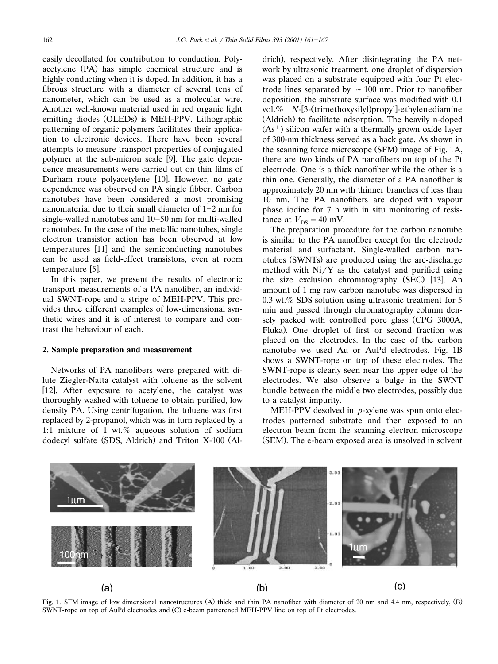easily decollated for contribution to conduction. Polyacetylene (PA) has simple chemical structure and is highly conducting when it is doped. In addition, it has a fibrous structure with a diameter of several tens of nanometer, which can be used as a molecular wire. Another well-known material used in red organic light emitting diodes (OLEDs) is MEH-PPV. Lithographic patterning of organic polymers facilitates their application to electronic devices. There have been several attempts to measure transport properties of conjugated polymer at the sub-micron scale [9]. The gate dependence measurements were carried out on thin films of Durham route polyacetylene [10]. However, no gate dependence was observed on PA single fibber. Carbon nanotubes have been considered a most promising nanomaterial due to their small diameter of  $1-2$  nm for single-walled nanotubes and  $10-50$  nm for multi-walled nanotubes. In the case of the metallic nanotubes, single electron transistor action has been observed at low temperatures [11] and the semiconducting nanotubes can be used as field-effect transistors, even at room temperature [5].

In this paper, we present the results of electronic transport measurements of a PA nanofiber, an individual SWNT-rope and a stripe of MEH-PPV. This provides three different examples of low-dimensional synthetic wires and it is of interest to compare and contrast the behaviour of each.

#### **2. Sample preparation and measurement**

Networks of PA nanofibers were prepared with dilute Ziegler-Natta catalyst with toluene as the solvent [12]. After exposure to acetylene, the catalyst was thoroughly washed with toluene to obtain purified, low density PA. Using centrifugation, the toluene was first replaced by 2-propanol, which was in turn replaced by a 1:1 mixture of 1 wt.% aqueous solution of sodium dodecyl sulfate (SDS, Aldrich) and Triton X-100 (Aldrich), respectively. After disintegrating the PA network by ultrasonic treatment, one droplet of dispersion was placed on a substrate equipped with four Pt electrode lines separated by  $\sim 100$  nm. Prior to nanofiber deposition, the substrate surface was modified with 0.1 vol.% *N*-[3-(trimethoxysilyl) propyl-ethylenediamine (Aldrich) to facilitate adsorption. The heavily n-doped  $(As<sup>+</sup>)$  silicon wafer with a thermally grown oxide layer of 300-nm thickness served as a back gate. As shown in the scanning force microscope (SFM) image of Fig. 1A, there are two kinds of PA nanofibers on top of the Pt electrode. One is a thick nanofiber while the other is a thin one. Generally, the diameter of a PA nanofiber is approximately 20 nm with thinner branches of less than 10 nm. The PA nanofibers are doped with vapour phase iodine for 7 h with in situ monitoring of resistance at  $V_{DS} = 40$  mV.

The preparation procedure for the carbon nanotube is similar to the PA nanofiber except for the electrode material and surfactant. Single-walled carbon nanotubes (SWNTs) are produced using the arc-discharge method with  $Ni/Y$  as the catalyst and purified using the size exclusion chromatography (SEC) [13]. An amount of 1 mg raw carbon nanotube was dispersed in 0.3 wt.% SDS solution using ultrasonic treatment for 5 min and passed through chromatography column densely packed with controlled pore glass (CPG 3000A, Fluka). One droplet of first or second fraction was placed on the electrodes. In the case of the carbon nanotube we used Au or AuPd electrodes. Fig. 1B shows a SWNT-rope on top of these electrodes. The SWNT-rope is clearly seen near the upper edge of the electrodes. We also observe a bulge in the SWNT bundle between the middle two electrodes, possibly due to a catalyst impurity.

MEH-PPV desolved in *p*-xylene was spun onto electrodes patterned substrate and then exposed to an electron beam from the scanning electron microscope (SEM). The e-beam exposed area is unsolved in solvent



Fig. 1. SFM image of low dimensional nanostructures (A) thick and thin PA nanofiber with diameter of 20 nm and 4.4 nm, respectively, (B) SWNT-rope on top of AuPd electrodes and (C) e-beam patterened MEH-PPV line on top of Pt electrodes.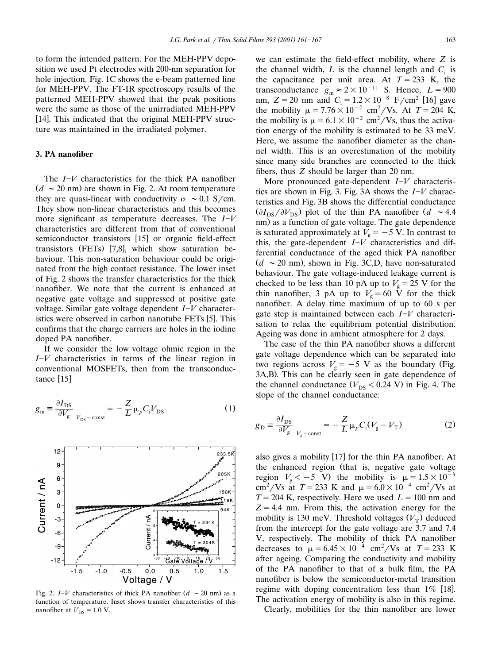to form the intended pattern. For the MEH-PPV deposition we used Pt electrodes with 200-nm separation for hole injection. Fig. 1C shows the e-beam patterned line for MEH-PPV. The FT-IR spectroscopy results of the patterned MEH-PPV showed that the peak positions were the same as those of the unirradiated MEH-PPV [14]. This indicated that the original MEH-PPV structure was maintained in the irradiated polymer.

# **3. PA nanofiber**

The *IV* characteristics for the thick PA nanofiber  $(d \sim 20 \text{ nm})$  are shown in Fig. 2. At room temperature they are quasi-linear with conductivity  $\sigma \sim 0.1$  S/cm. They show non-linear characteristics and this becomes more significant as temperature decreases. The  $I-V$ characteristics are different from that of conventional semiconductor transistors [15] or organic field-effect transistors (FETs)  $[7,8]$ , which show saturation behaviour. This non-saturation behaviour could be originated from the high contact resistance. The lower inset of Fig. 2 shows the transfer characteristics for the thick nanofiber. We note that the current is enhanced at negative gate voltage and suppressed at positive gate voltage. Similar gate voltage dependent *IV* characteristics were observed in carbon nanotube FETs [5]. This confirms that the charge carriers are holes in the iodine doped PA nanofiber.

If we consider the low voltage ohmic region in the *IV* characteristics in terms of the linear region in conventional MOSFETs, then from the transconductance [15]

$$
g_{\rm m} \equiv \frac{\partial I_{\rm DS}}{\partial V_{\rm g}}\bigg|_{V_{\rm DS} = \text{const}} = -\frac{Z}{L}\mu_p C_i V_{\rm DS}
$$
 (1)



Fig. 2.  $I-V$  characteristics of thick PA nanofiber  $(d \sim 20 \text{ nm})$  as a function of temperature. Inset shows transfer characteristics of this nanofiber at  $V_{DS} = 1.0$  V.

we can estimate the field-effect mobility, where *Z* is the channel width,  $L$  is the channel length and  $C_i$  is the capacitance per unit area. At  $T = 233$  K, the transconductance  $g_m \approx 2 \times 10^{-11}$  S. Hence,  $L = 900$ <br>nm,  $Z = 20$  nm and  $C_i = 1.2 \times 10^{-8}$  F/cm<sup>2</sup> [16] gave the mobility  $\mu = 7.76 \times 10^{-2}$  cm<sup>2</sup>/Vs. At  $T = 204$  K, the mobility is  $\mu = 6.1 \times 10^{-2}$  cm<sup>2</sup>/Vs, thus the activation energy of the mobility is estimated to be 33 meV. Here, we assume the nanofiber diameter as the channel width. This is an overestimation of the mobility since many side branches are connected to the thick fibers, thus *Z* should be larger than 20 nm.

More pronounced gate-dependent *I*-*V* characteristics are shown in Fig. 3. Fig. 3A shows the *IV* characteristics and Fig. 3B shows the differential conductance  $(\partial I_{DS}/\partial V_{DS})$  plot of the thin PA nanofiber  $(d \sim 4.4)$ nm) as a function of gate voltage. The gate dependence is saturated approximately at  $V_g = -5$  V. In contrast to this, the gate-dependent  $I-V$  characteristics and differential conductance of the aged thick PA nanofiber  $(d \sim 20 \text{ nm})$ , shown in Fig. 3C,D, have non-saturated behaviour. The gate voltage-induced leakage current is checked to be less than 10 pA up to  $V<sub>g</sub> = 25$  V for the thin nanofiber, 3 pA up to  $V<sub>g</sub> = 60$  V for the thick nanofiber. A delay time maximum of up to 60 s per gate step is maintained between each *IV* characterisation to relax the equilibrium potential distribution. Ageing was done in ambient atmosphere for 2 days.

The case of the thin PA nanofiber shows a different gate voltage dependence which can be separated into two regions across  $V_g = -5$  V as the boundary (Fig. 3A,B). This can be clearly seen in gate dependence of the channel conductance  $(V_{DS} < 0.24 \text{ V})$  in Fig. 4. The slope of the channel conductance:

$$
g_{\rm D} \equiv \frac{\partial I_{\rm DS}}{\partial V_{\rm g}}\bigg|_{V_{\rm g} = \text{const}} = -\frac{Z}{L} \mu_p C_{\rm i} (V_{\rm g} - V_{\rm T}) \tag{2}
$$

also gives a mobility  $[17]$  for the thin PA nanofiber. At the enhanced region (that is, negative gate voltage region  $V_g < -5$  V) the mobility is  $\mu = 1.5 \times 10^{-3}$ cm<sup>2</sup>/Vs at  $T = 233$  K and  $\mu = 6.0 \times 10^{-4}$  cm<sup>2</sup>/Vs at  $T = 204$  K, respectively. Here we used  $L = 100$  nm and  $Z = 4.4$  nm. From this, the activation energy for the mobility is 130 meV. Threshold voltages  $(V<sub>T</sub>)$  deduced from the intercept for the gate voltage are 3.7 and 7.4 V, respectively. The mobility of thick PA nanofiber decreases to  $\mu = 6.45 \times 10^{-4}$  cm<sup>2</sup>/Vs at  $T = 233$  K after ageing. Comparing the conductivity and mobility of the PA nanofiber to that of a bulk film, the PA nanofiber is below the semiconductor-metal transition regime with doping concentration less than  $1\%$  [18]. The activation energy of mobility is also in this regime.

Clearly, mobilities for the thin nanofiber are lower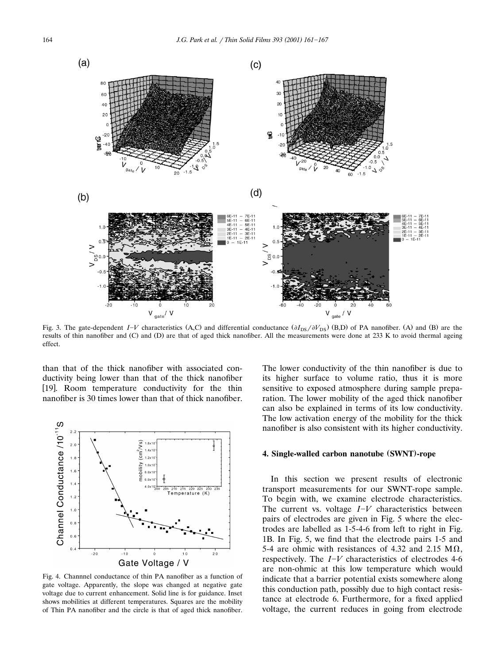

Fig. 3. The gate-dependent  $I-V$  characteristics (A,C) and differential conductance  $(\partial I_{DS}/\partial V_{DS})$  (B,D) of PA nanofiber. (A) and (B) are the results of thin nanofiber and (C) and (D) are that of aged thick nanofiber. All the measurements were done at 233 K to avoid thermal ageing effect.

than that of the thick nanofiber with associated conductivity being lower than that of the thick nanofiber [19]. Room temperature conductivity for the thin nanofiber is 30 times lower than that of thick nanofiber.



Fig. 4. Channnel conductance of thin PA nanofiber as a function of gate voltage. Apparently, the slope was changed at negative gate voltage due to current enhancement. Solid line is for guidance. Inset shows mobilities at different temperatures. Squares are the mobility of Thin PA nanofiber and the circle is that of aged thick nanofiber.

The lower conductivity of the thin nanofiber is due to its higher surface to volume ratio, thus it is more sensitive to exposed atmosphere during sample preparation. The lower mobility of the aged thick nanofiber can also be explained in terms of its low conductivity. The low activation energy of the mobility for the thick nanofiber is also consistent with its higher conductivity.

### **4. Single-walled carbon nanotube SWNT -rope ( )**

In this section we present results of electronic transport measurements for our SWNT-rope sample. To begin with, we examine electrode characteristics. The current vs. voltage *I*-*V* characteristics between pairs of electrodes are given in Fig. 5 where the electrodes are labelled as 1-5-4-6 from left to right in Fig. 1B. In Fig. 5, we find that the electrode pairs 1-5 and 5-4 are ohmic with resistances of 4.32 and 2.15  $M\Omega$ , respectively. The *IV* characteristics of electrodes 4-6 are non-ohmic at this low temperature which would indicate that a barrier potential exists somewhere along this conduction path, possibly due to high contact resistance at electrode 6. Furthermore, for a fixed applied voltage, the current reduces in going from electrode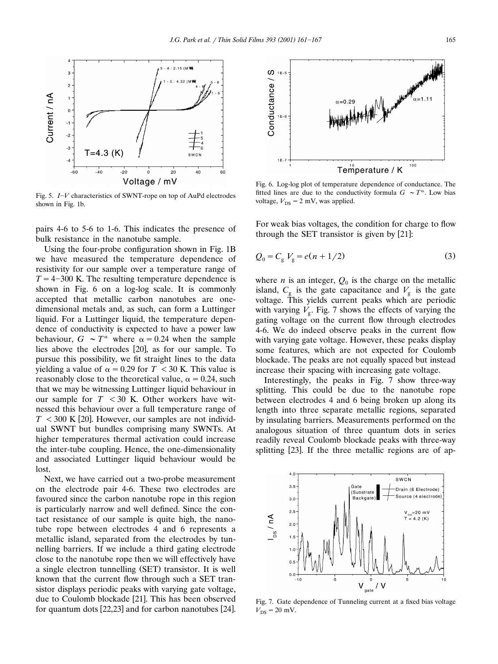

Fig. 5. *IV* characteristics of SWNT-rope on top of AuPd electrodes shown in Fig. 1b.

pairs 4-6 to 5-6 to 1-6. This indicates the presence of bulk resistance in the nanotube sample.

Using the four-probe configuration shown in Fig. 1B we have measured the temperature dependence of resistivity for our sample over a temperature range of  $T = 4-300$  K. The resulting temperature dependence is shown in Fig. 6 on a log-log scale. It is commonly accepted that metallic carbon nanotubes are onedimensional metals and, as such, can form a Luttinger liquid. For a Luttinger liquid, the temperature dependence of conductivity is expected to have a power law behaviour,  $G \sim T^{\alpha}$  where  $\alpha = 0.24$  when the sample lies above the electrodes [20], as for our sample. To pursue this possibility, we fit straight lines to the data yielding a value of  $\alpha = 0.29$  for  $T < 30$  K. This value is reasonably close to the theoretical value,  $\alpha = 0.24$ , such that we may be witnessing Luttinger liquid behaviour in our sample for  $T < 30$  K. Other workers have witnessed this behaviour over a full temperature range of  $T < 300$  K [20]. However, our samples are not individual SWNT but bundles comprising many SWNTs. At higher temperatures thermal activation could increase the inter-tube coupling. Hence, the one-dimensionality and associated Luttinger liquid behaviour would be lost.

Next, we have carried out a two-probe measurement on the electrode pair 4-6. These two electrodes are favoured since the carbon nanotube rope in this region is particularly narrow and well defined. Since the contact resistance of our sample is quite high, the nanotube rope between electrodes 4 and 6 represents a metallic island, separated from the electrodes by tunnelling barriers. If we include a third gating electrode close to the nanotube rope then we will effectively have a single electron tunnelling (SET) transistor. It is well known that the current flow through such a SET transistor displays periodic peaks with varying gate voltage, due to Coulomb blockade [21]. This has been observed for quantum dots  $[22,23]$  and for carbon nanotubes  $[24]$ .



Fig. 6. Log-log plot of temperature dependence of conductance. The fitted lines are due to the conductivity formula  $G \sim T^{\alpha}$ . Low bias voltage,  $V_{DS} = 2$  mV, was applied.

For weak bias voltages, the condition for charge to flow through the SET transistor is given by  $[21]$ :

$$
Q_0 = C_g V_g = e(n + 1/2)
$$
 (3)

where *n* is an integer,  $Q_0$  is the charge on the metallic island,  $C_{\sigma}$  is the gate capacitance and  $V_{\sigma}$  is the gate voltage. This yields current peaks which are periodic with varying  $V<sub>o</sub>$ . Fig. 7 shows the effects of varying the gating voltage on the current flow through electrodes 4-6. We do indeed observe peaks in the current flow with varying gate voltage. However, these peaks display some features, which are not expected for Coulomb blockade. The peaks are not equally spaced but instead increase their spacing with increasing gate voltage.

Interestingly, the peaks in Fig. 7 show three-way splitting. This could be due to the nanotube rope between electrodes 4 and 6 being broken up along its length into three separate metallic regions, separated by insulating barriers. Measurements performed on the analogous situation of three quantum dots in series readily reveal Coulomb blockade peaks with three-way splitting [23]. If the three metallic regions are of ap-



Fig. 7. Gate dependence of Tunneling current at a fixed bias voltage  $V_{DS} = 20$  mV.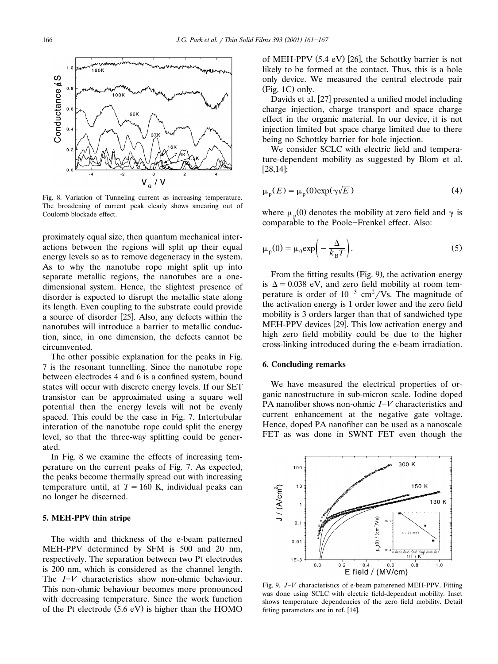

Fig. 8. Variation of Tunneling current as increasing temperature. The broadening of current peak clearly shows smearing out of Coulomb blockade effect.

proximately equal size, then quantum mechanical interactions between the regions will split up their equal energy levels so as to remove degeneracy in the system. As to why the nanotube rope might split up into separate metallic regions, the nanotubes are a onedimensional system. Hence, the slightest presence of disorder is expected to disrupt the metallic state along its length. Even coupling to the substrate could provide a source of disorder [25]. Also, any defects within the nanotubes will introduce a barrier to metallic conduction, since, in one dimension, the defects cannot be circumvented.

The other possible explanation for the peaks in Fig. 7 is the resonant tunnelling. Since the nanotube rope between electrodes 4 and 6 is a confined system, bound states will occur with discrete energy levels. If our SET transistor can be approximated using a square well potential then the energy levels will not be evenly spaced. This could be the case in Fig. 7. Intertubular interation of the nanotube rope could split the energy level, so that the three-way splitting could be generated.

In Fig. 8 we examine the effects of increasing temperature on the current peaks of Fig. 7. As expected, the peaks become thermally spread out with increasing temperature until, at  $T = 160$  K, individual peaks can no longer be discerned.

# **5. MEH-PPV thin stripe**

The width and thickness of the e-beam patterned MEH-PPV determined by SFM is 500 and 20 nm, respectively. The separation between two Pt electrodes is 200 nm, which is considered as the channel length. The *I*<sup>-*V*</sup> characteristics show non-ohmic behaviour. This non-ohmic behaviour becomes more pronounced with decreasing temperature. Since the work function of the Pt electrode  $(5.6 \text{ eV})$  is higher than the HOMO

of MEH-PPV  $(5.4 \text{ eV})$  [26], the Schottky barrier is not likely to be formed at the contact. Thus, this is a hole only device. We measured the central electrode pair  $(Fig. 1C)$  only.

Davids et al. [27] presented a unified model including charge injection, charge transport and space charge effect in the organic material. In our device, it is not injection limited but space charge limited due to there being no Schottky barrier for hole injection.

We consider SCLC with electric field and temperature-dependent mobility as suggested by Blom et al.  $[28,14]$ :

$$
\mu_{\rm p}(E) = \mu_{\rm p}(0) \exp(\gamma \sqrt{E})
$$
 (4)

where  $\mu_p(0)$  denotes the mobility at zero field and  $\gamma$  is comparable to the Poole-Frenkel effect. Also:

$$
\mu_{\rm p}(0) = \mu_0 \exp\left(-\frac{\Delta}{k_{\rm B}T}\right). \tag{5}
$$

From the fitting results (Fig. 9), the activation energy is  $\Delta = 0.038$  eV, and zero field mobility at room temperature is order of  $10^{-3}$  cm<sup>2</sup>/Vs. The magnitude of the activation energy is 1 order lower and the zero field mobility is 3 orders larger than that of sandwiched type MEH-PPV devices [29]. This low activation energy and high zero field mobility could be due to the higher cross-linking introduced during the e-beam irradiation.

## **6. Concluding remarks**

We have measured the electrical properties of organic nanostructure in sub-micron scale. Iodine doped PA nanofiber shows non-ohmic *I*<sup>*-V*</sup> characteristics and current enhancement at the negative gate voltage. Hence, doped PA nanofiber can be used as a nanoscale FET as was done in SWNT FET even though the



Fig. 9. *JV* characteristics of e-beam patterened MEH-PPV. Fitting was done using SCLC with electric field-dependent mobility. Inset shows temperature dependencies of the zero field mobility. Detail fitting parameters are in ref. [14].